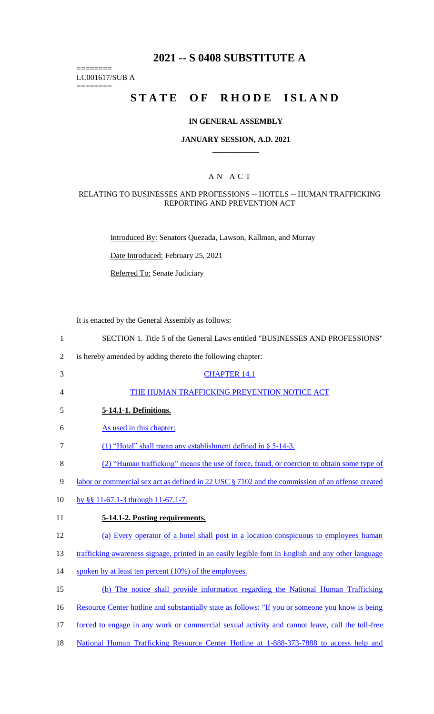# **2021 -- S 0408 SUBSTITUTE A**

======== LC001617/SUB A

========

# **STATE OF RHODE ISLAND**

#### **IN GENERAL ASSEMBLY**

#### **JANUARY SESSION, A.D. 2021 \_\_\_\_\_\_\_\_\_\_\_\_**

## A N A C T

#### RELATING TO BUSINESSES AND PROFESSIONS -- HOTELS -- HUMAN TRAFFICKING REPORTING AND PREVENTION ACT

Introduced By: Senators Quezada, Lawson, Kallman, and Murray

Date Introduced: February 25, 2021

Referred To: Senate Judiciary

It is enacted by the General Assembly as follows:

| $\mathbf{1}$   | SECTION 1. Title 5 of the General Laws entitled "BUSINESSES AND PROFESSIONS"                       |
|----------------|----------------------------------------------------------------------------------------------------|
| $\overline{2}$ | is hereby amended by adding thereto the following chapter:                                         |
| 3              | <b>CHAPTER 14.1</b>                                                                                |
| 4              | THE HUMAN TRAFFICKING PREVENTION NOTICE ACT                                                        |
| 5              | 5-14.1-1. Definitions.                                                                             |
| 6              | As used in this chapter:                                                                           |
| 7              | (1) "Hotel" shall mean any establishment defined in § 5-14-3.                                      |
| $8\,$          | (2) "Human trafficking" means the use of force, fraud, or coercion to obtain some type of          |
| 9              | labor or commercial sex act as defined in 22 USC § 7102 and the commission of an offense created   |
| 10             | by §§ 11-67.1-3 through 11-67.1-7.                                                                 |
| 11             | 5-14.1-2. Posting requirements.                                                                    |
| 12             | (a) Every operator of a hotel shall post in a location conspicuous to employees human              |
| 13             | trafficking awareness signage, printed in an easily legible font in English and any other language |
| 14             | spoken by at least ten percent (10%) of the employees.                                             |
| 15             | (b) The notice shall provide information regarding the National Human Trafficking                  |
| 16             | Resource Center hotline and substantially state as follows: "If you or someone you know is being   |
| 17             | forced to engage in any work or commercial sexual activity and cannot leave, call the toll-free    |
|                |                                                                                                    |

18 National Human Trafficking Resource Center Hotline at 1-888-373-7888 to access help and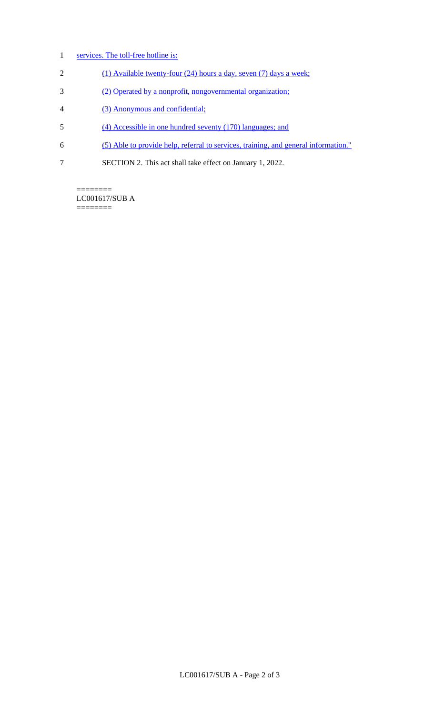- 1 services. The toll-free hotline is:
- 2 (1) Available twenty-four (24) hours a day, seven (7) days a week;
- 3 (2) Operated by a nonprofit, nongovernmental organization;
- 4 (3) Anonymous and confidential;
- 5 (4) Accessible in one hundred seventy (170) languages; and
- 6 (5) Able to provide help, referral to services, training, and general information."
- 7 SECTION 2. This act shall take effect on January 1, 2022.

======== LC001617/SUB A ========